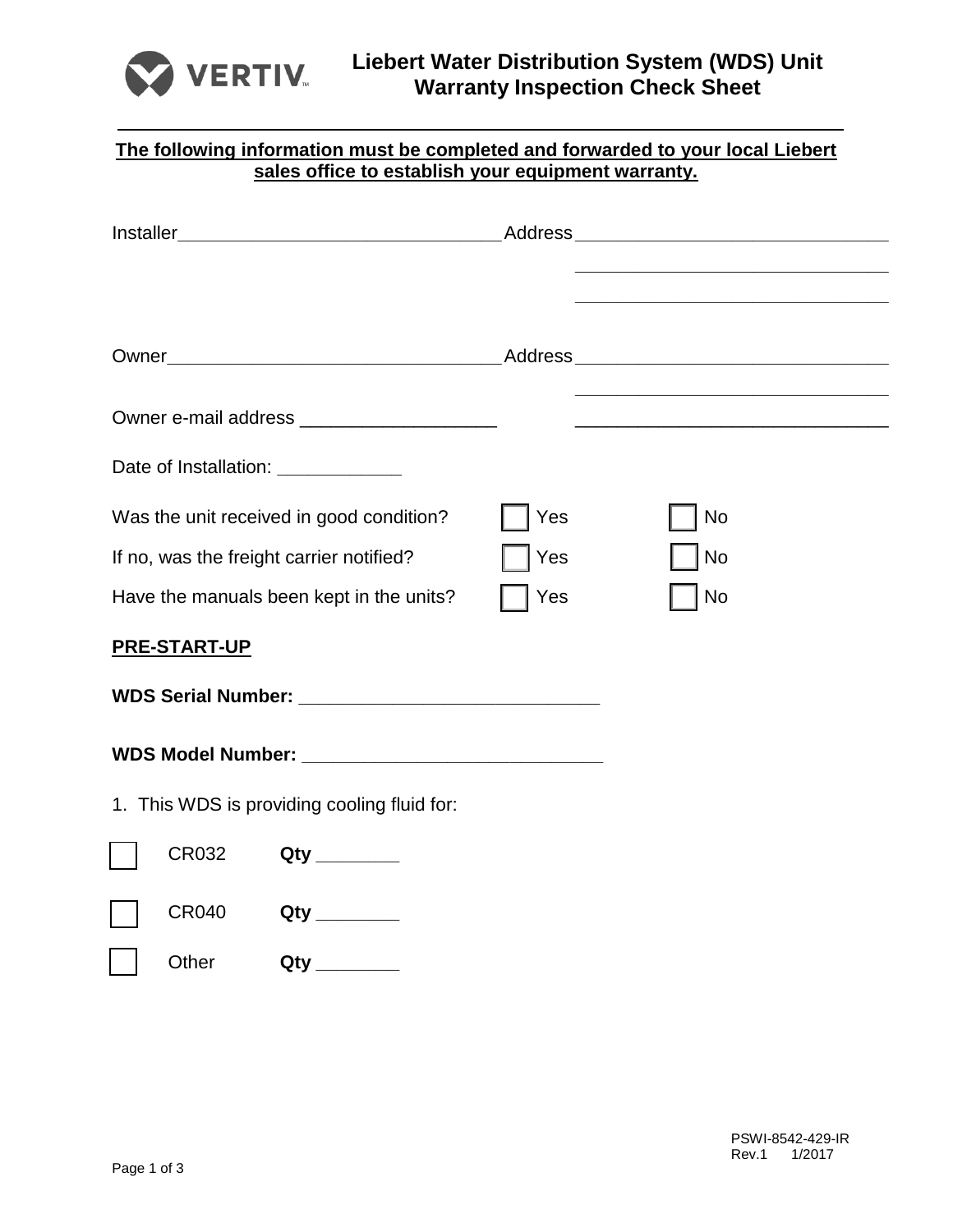

| The following information must be completed and forwarded to your local Liebert<br>sales office to establish your equipment warranty. |            |                                                                                           |  |
|---------------------------------------------------------------------------------------------------------------------------------------|------------|-------------------------------------------------------------------------------------------|--|
|                                                                                                                                       |            | the control of the control of the control of the control of the control of the control of |  |
|                                                                                                                                       |            |                                                                                           |  |
|                                                                                                                                       |            |                                                                                           |  |
| Date of Installation: ____________                                                                                                    |            |                                                                                           |  |
| Was the unit received in good condition?<br>If no, was the freight carrier notified?                                                  | Yes<br>Yes | No<br>No                                                                                  |  |
| Have the manuals been kept in the units?                                                                                              | Yes        | No                                                                                        |  |
| <b>PRE-START-UP</b>                                                                                                                   |            |                                                                                           |  |
|                                                                                                                                       |            |                                                                                           |  |
|                                                                                                                                       |            |                                                                                           |  |
| 1. This WDS is providing cooling fluid for:                                                                                           |            |                                                                                           |  |
| CR032                                                                                                                                 |            |                                                                                           |  |
| <b>CR040</b><br>Qty _______                                                                                                           |            |                                                                                           |  |
| Other                                                                                                                                 |            |                                                                                           |  |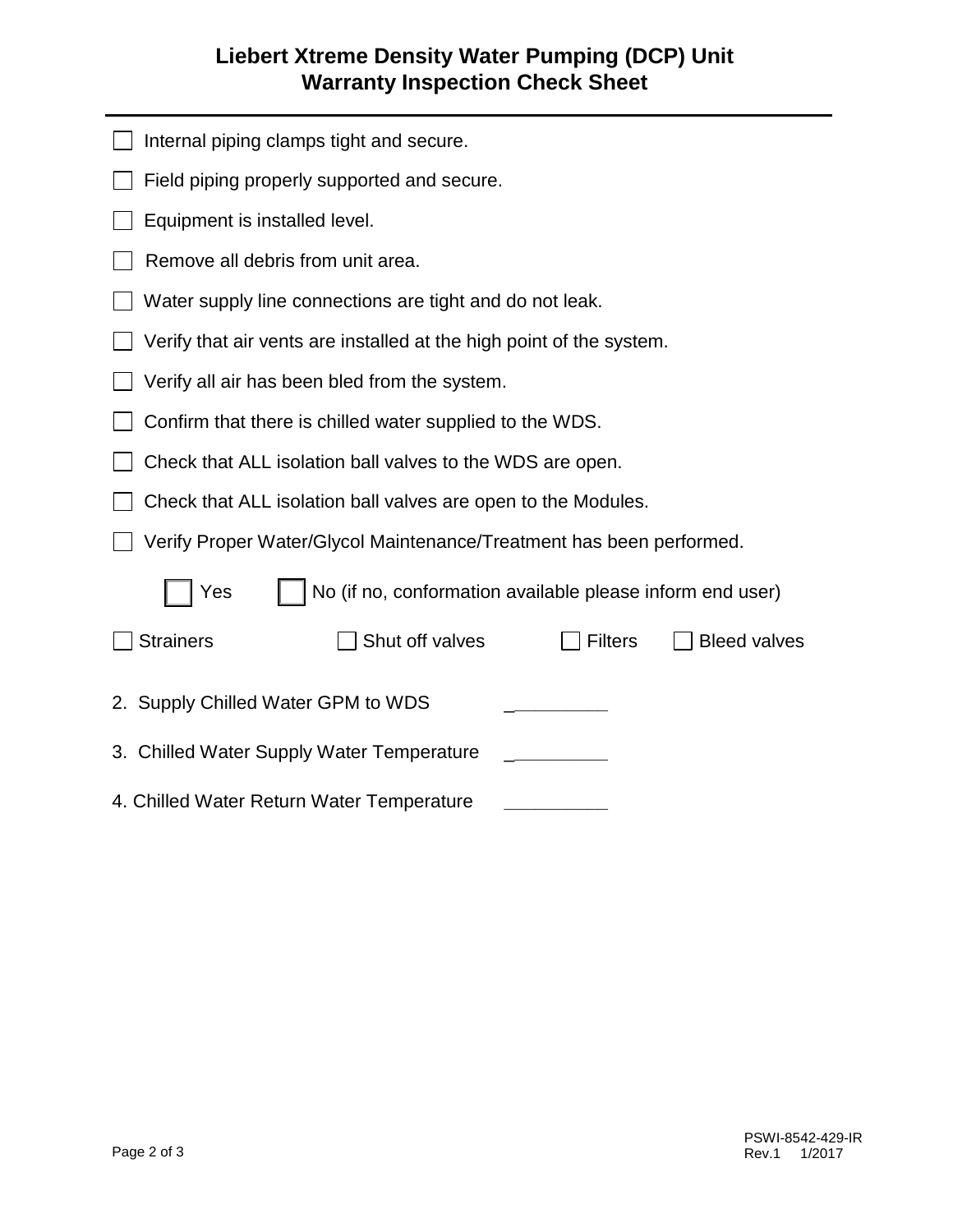## **Liebert Xtreme Density Water Pumping (DCP) Unit Warranty Inspection Check Sheet**

| Internal piping clamps tight and secure.                                     |  |  |  |
|------------------------------------------------------------------------------|--|--|--|
| Field piping properly supported and secure.                                  |  |  |  |
| Equipment is installed level.                                                |  |  |  |
| Remove all debris from unit area.                                            |  |  |  |
| Water supply line connections are tight and do not leak.                     |  |  |  |
| Verify that air vents are installed at the high point of the system.         |  |  |  |
| Verify all air has been bled from the system.                                |  |  |  |
| Confirm that there is chilled water supplied to the WDS.                     |  |  |  |
| Check that ALL isolation ball valves to the WDS are open.                    |  |  |  |
| Check that ALL isolation ball valves are open to the Modules.                |  |  |  |
| Verify Proper Water/Glycol Maintenance/Treatment has been performed.         |  |  |  |
| No (if no, conformation available please inform end user)<br>Yes             |  |  |  |
| <b>Strainers</b><br>Shut off valves<br><b>Filters</b><br><b>Bleed valves</b> |  |  |  |
| 2. Supply Chilled Water GPM to WDS                                           |  |  |  |
| 3. Chilled Water Supply Water Temperature                                    |  |  |  |
| 4. Chilled Water Return Water Temperature                                    |  |  |  |